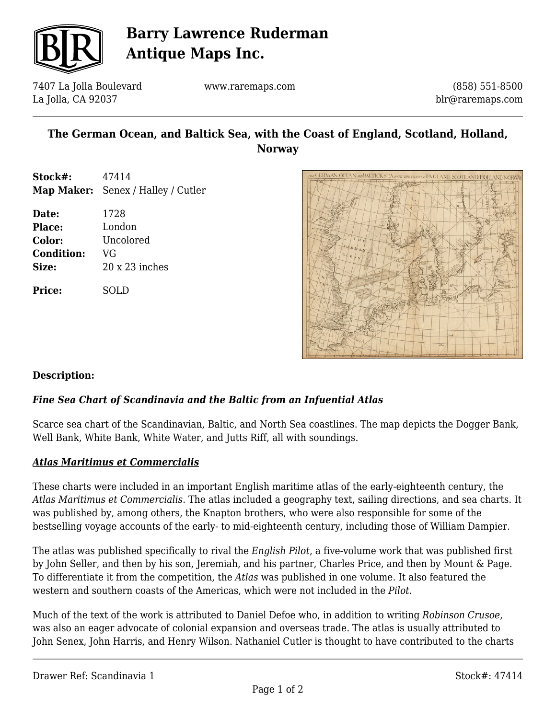

# **Barry Lawrence Ruderman Antique Maps Inc.**

7407 La Jolla Boulevard La Jolla, CA 92037

www.raremaps.com

(858) 551-8500 blr@raremaps.com

## **The German Ocean, and Baltick Sea, with the Coast of England, Scotland, Holland, Norway**

**Stock#:** 47414 **Map Maker:** Senex / Halley / Cutler

**Date:** 1728 **Place:** London **Color:** Uncolored **Condition:** VG **Size:** 20 x 23 inches

**Price:** SOLD



### **Description:**

### *Fine Sea Chart of Scandinavia and the Baltic from an Infuential Atlas*

Scarce sea chart of the Scandinavian, Baltic, and North Sea coastlines. The map depicts the Dogger Bank, Well Bank, White Bank, White Water, and Jutts Riff, all with soundings.

### *Atlas Maritimus et Commercialis*

These charts were included in an important English maritime atlas of the early-eighteenth century, the *Atlas Maritimus et Commercialis.* The atlas included a geography text, sailing directions, and sea charts. It was published by, among others, the Knapton brothers, who were also responsible for some of the bestselling voyage accounts of the early- to mid-eighteenth century, including those of William Dampier.

The atlas was published specifically to rival the *English Pilot*, a five-volume work that was published first by John Seller, and then by his son, Jeremiah, and his partner, Charles Price, and then by Mount & Page. To differentiate it from the competition, the *Atlas* was published in one volume. It also featured the western and southern coasts of the Americas, which were not included in the *Pilot*.

Much of the text of the work is attributed to Daniel Defoe who, in addition to writing *Robinson Crusoe*, was also an eager advocate of colonial expansion and overseas trade. The atlas is usually attributed to John Senex, John Harris, and Henry Wilson. Nathaniel Cutler is thought to have contributed to the charts